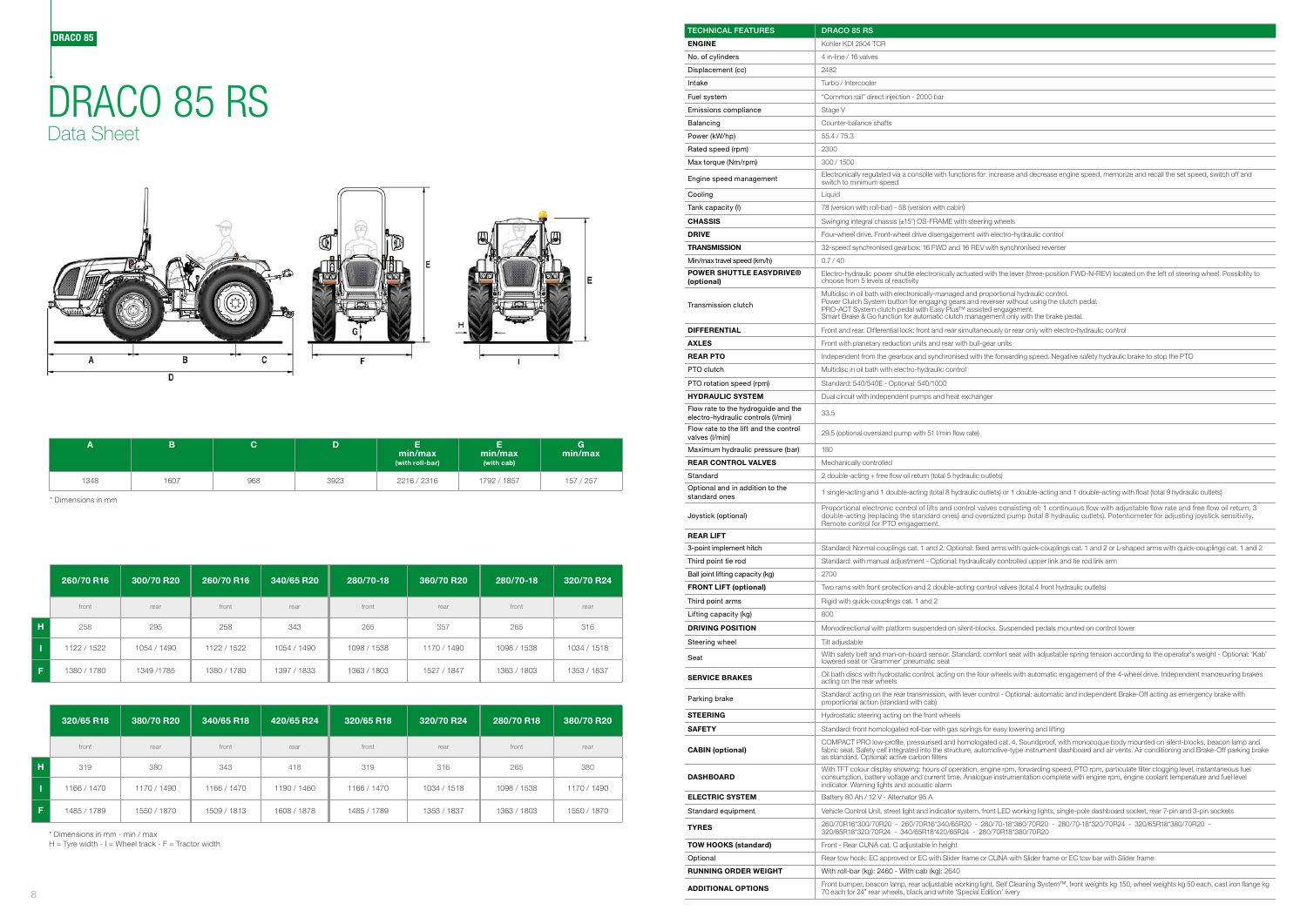.<br>Encrease and decrease engine speed, memorize and recall the set speed, switch off and

with the lever (three-position FWD-N-REV) located on the left of steering wheel. Possibility to

utlets) or 1 double-acting and 1 double-acting with float (total 9 hydraulic outlets)

alves consisting of: 1 continuous flow with adjustable flow rate and free flow oil return, 3 double-acting the standard ones in the standard ones in the state of the state of the state of the state of the standard entire the state of the state of the state of the state of the state of the state of the state of the

3-point arms with quick-couplings cat. 1 and 2 or L-shaped arms with quick-couplings cat. 1 and 2 third point allowing ties rod Standard: Cally controlled upper link and tie rod link arm

## DRACO 85 RS Data Sheet



comfort seat with adjustable spring tension according to the operator's weight - Optional: 'Kab'

ur wheels with automatic engagement of the 4-wheel drive. Independent manoeuvring brakes

ontrol - Optional: automatic and independent Brake-Off acting as emergency brake with

ated cat. 4. Soundproof, with monocoque body mounted on silent-blocks, beacon lamp and fabric seat. Safety cell integrated in the structure integrated in the structure of the structure-type instrument dashboard and air vents. Air conditioning and Brake-Off parking brake

With TFT colour display showing: hours of operation, engine rpm, forwarding speed, PTO rpm, particulate filter clogging level, instantaneous fuel<br>consumption, battery voltage and current time. Analogue instrumentation comp

front LED working lights, single-pole dashboard socket, rear 7-pin and 3-pin sockets

ght, Self Cleaning System™, front weights kg 150, wheel weights kg 50 each, cast iron flange kg <sub>3</sub>. .., sol. sisa.<br>:dition' livery

|      |      |     |      | -<br>ь<br>min/max<br>(with roll-bar) | min/max<br>(with cab) | G<br>min/max |
|------|------|-----|------|--------------------------------------|-----------------------|--------------|
| 1348 | 1607 | 968 | 3923 | 2216 / 2316                          | 1792 / 1857           | 157 / 257    |

|    | 260/70 R16  | 300/70 R20  | 260/70 R16  | 340/65 R20  | 280/70-18   | 360/70 R20  | 280/70-18   | 320/70 R24  |
|----|-------------|-------------|-------------|-------------|-------------|-------------|-------------|-------------|
|    | front       | rear        | front       | rear        | front       | rear        | front       | rear        |
| н  | 258         | 295         | 258         | 343         | 265         | 357         | 265         | 316         |
|    | 1122 / 1522 | 1054 / 1490 | 1122 / 1522 | 1054 / 1490 | 1098 / 1538 | 1170 / 1490 | 1098 / 1538 | 1034 / 1518 |
| F. | 1380 / 1780 | 1349/1785   | 1380 / 1780 | 1397 / 1833 | 1363 / 1803 | 1527 / 1847 | 1363 / 1803 | 1353 / 1837 |

|    | 320/65 R18  | 380/70 R20  | 340/65 R18  | 420/65 R24  | 320/65 R18  | 320/70 R24  | 280/70 R18  | 380/70 R20  |
|----|-------------|-------------|-------------|-------------|-------------|-------------|-------------|-------------|
|    | front       | rear        | front       | rear        | front       | rear        | front       | rear        |
| н. | 319         | 380         | 343         | 418         | 319         | 316         | 265         | 380         |
|    | 1166 / 1470 | 1170 / 1490 | 1166 / 1470 | 1190 / 1460 | 1166 / 1470 | 1034 / 1518 | 1098 / 1538 | 1170 / 1490 |
| F. | 1485 / 1789 | 1550 / 1870 | 1509 / 1813 | 1608 / 1878 | 1485 / 1789 | 1353 / 1837 | 1363 / 1803 | 1550 / 1870 |

| <b>TECHNICAL FEATURES</b>                                                 | <b>DRACO 85 RS</b>                                                                                                                                                                                                                                                                                                                              |
|---------------------------------------------------------------------------|-------------------------------------------------------------------------------------------------------------------------------------------------------------------------------------------------------------------------------------------------------------------------------------------------------------------------------------------------|
| <b>ENGINE</b>                                                             | Kohler KDI 2504 TCR                                                                                                                                                                                                                                                                                                                             |
| No. of cylinders                                                          | 4 in-line / 16 valves                                                                                                                                                                                                                                                                                                                           |
| Displacement (cc)                                                         | 2482                                                                                                                                                                                                                                                                                                                                            |
| Intake                                                                    | Turbo / Intercooler                                                                                                                                                                                                                                                                                                                             |
| Fuel system                                                               | "Common rail" direct injection - 2000 bar                                                                                                                                                                                                                                                                                                       |
| Emissions compliance                                                      | Stage V                                                                                                                                                                                                                                                                                                                                         |
| Balancing                                                                 | Counter-balance shafts                                                                                                                                                                                                                                                                                                                          |
| Power (kW/hp)                                                             | 55.4 / 75.3                                                                                                                                                                                                                                                                                                                                     |
| Rated speed (rpm)                                                         | 2300                                                                                                                                                                                                                                                                                                                                            |
| Max torque (Nm/rpm)                                                       | 300 / 1500                                                                                                                                                                                                                                                                                                                                      |
|                                                                           | Electronically regulated via a consolle with functions for: increase and decrease engine speed, memorize and recall the set speed, s                                                                                                                                                                                                            |
| Engine speed management                                                   | switch to minimum speed                                                                                                                                                                                                                                                                                                                         |
| Cooling                                                                   | Liquid                                                                                                                                                                                                                                                                                                                                          |
| Tank capacity (I)                                                         | 78 (version with roll-bar) - 58 (version with cabin)                                                                                                                                                                                                                                                                                            |
| <b>CHASSIS</b>                                                            | Swinging integral chassis (±15°) OS-FRAME with steering wheels                                                                                                                                                                                                                                                                                  |
| <b>DRIVE</b>                                                              | Four-wheel drive. Front-wheel drive disengagement with electro-hydraulic control                                                                                                                                                                                                                                                                |
| <b>TRANSMISSION</b>                                                       | 32-speed synchronised gearbox: 16 FWD and 16 REV with synchronised reverser                                                                                                                                                                                                                                                                     |
| Min/max travel speed (km/h)                                               | 0.7/40                                                                                                                                                                                                                                                                                                                                          |
| <b>POWER SHUTTLE EASYDRIVE®</b><br>(optional)                             | Electro-hydraulic power shuttle electronically actuated with the lever (three-position FWD-N-REV) located on the left of steering whe<br>choose from 5 levels of reactivity                                                                                                                                                                     |
| Transmission clutch                                                       | Multidisc in oil bath with electronically-managed and proportional hydraulic control.<br>Power Clutch System button for engaging gears and reverser without using the clutch pedal.<br>PRO-ACT System clutch pedal with Easy Plus™ assisted engagement.<br>Smart Brake & Go function for automatic clutch management only with the brake pedal. |
| <b>DIFFERENTIAL</b>                                                       | Front and rear. Differential lock: front and rear simultaneously or rear only with electro-hydraulic control                                                                                                                                                                                                                                    |
| <b>AXLES</b>                                                              | Front with planetary reduction units and rear with bull-gear units                                                                                                                                                                                                                                                                              |
| <b>REAR PTO</b>                                                           | Independent from the gearbox and synchronised with the forwarding speed. Negative safety hydraulic brake to stop the PTO                                                                                                                                                                                                                        |
| PTO clutch                                                                |                                                                                                                                                                                                                                                                                                                                                 |
|                                                                           | Multidisc in oil bath with electro-hydraulic control                                                                                                                                                                                                                                                                                            |
| PTO rotation speed (rpm)                                                  | Standard: 540/540E - Optional: 540/1000                                                                                                                                                                                                                                                                                                         |
| <b>HYDRAULIC SYSTEM</b>                                                   | Dual circuit with independent pumps and heat exchanger                                                                                                                                                                                                                                                                                          |
| Flow rate to the hydroguide and the<br>electro-hydraulic controls (I/min) | 33.5                                                                                                                                                                                                                                                                                                                                            |
| Flow rate to the lift and the control<br>valves (I/min)                   | 29.5 (optional oversized pump with 51 I/min flow rate)                                                                                                                                                                                                                                                                                          |
| Maximum hydraulic pressure (bar)                                          | 180                                                                                                                                                                                                                                                                                                                                             |
| <b>REAR CONTROL VALVES</b>                                                | Mechanically controlled                                                                                                                                                                                                                                                                                                                         |
| Standard                                                                  | 2 double-acting + free flow oil return (total 5 hydraulic outlets)                                                                                                                                                                                                                                                                              |
| Optional and in addition to the<br>standard ones                          | 1 single-acting and 1 double-acting (total 8 hydraulic outlets) or 1 double-acting and 1 double-acting with float (total 9 hydraulic outl                                                                                                                                                                                                       |
| Joystick (optional)                                                       | Proportional electronic control of lifts and control valves consisting of: 1 continuous flow with adjustable flow rate and free flo<br>double-acting (replacing the standard ones) and oversized pump (total 8 hydraulic outlets). Potentiometer for adjusting joysti<br>Remote control for PTO engagement.                                     |
| <b>REAR LIFT</b>                                                          |                                                                                                                                                                                                                                                                                                                                                 |
| 3-point implement hitch                                                   | Standard: Normal couplings cat. 1 and 2. Optional: fixed arms with quick-couplings cat. 1 and 2 or L-shaped arms with quick-coup                                                                                                                                                                                                                |
| Third point tie rod                                                       | Standard: with manual adjustment - Optional: hydraulically controlled upper link and tie rod link arm                                                                                                                                                                                                                                           |
| Ball joint lifting capacity (kg)                                          | 2700                                                                                                                                                                                                                                                                                                                                            |
| FRONT LIFT (optional)                                                     | Two rams with front protection and 2 double-acting control valves (total 4 front hydraulic outlets)                                                                                                                                                                                                                                             |
| Third point arms                                                          | Rigid with quick-couplings cat. 1 and 2                                                                                                                                                                                                                                                                                                         |
|                                                                           |                                                                                                                                                                                                                                                                                                                                                 |
| Lifting capacity (kg)                                                     | 800                                                                                                                                                                                                                                                                                                                                             |
| <b>DRIVING POSITION</b>                                                   | Monodirectional with platform suspended on silent-blocks. Suspended pedals mounted on control tower                                                                                                                                                                                                                                             |
| Steering wheel                                                            | Tilt adjustable                                                                                                                                                                                                                                                                                                                                 |
| Seat                                                                      | With safety belt and man-on-board sensor. Standard: comfort seat with adjustable spring tension according to the operator's weigl<br>lowered seat or 'Grammer' pneumatic seat                                                                                                                                                                   |
| <b>SERVICE BRAKES</b>                                                     | Oil bath discs with hydrostatic control, acting on the four wheels with automatic engagement of the 4-wheel drive. Independent mai<br>acting on the rear wheels                                                                                                                                                                                 |
| Parking brake                                                             | Standard: acting on the rear transmission, with lever control - Optional: automatic and independent Brake-Off acting as emergency<br>proportional action (standard with cab)                                                                                                                                                                    |
| <b>STEERING</b>                                                           | Hydrostatic steering acting on the front wheels                                                                                                                                                                                                                                                                                                 |
| <b>SAFETY</b>                                                             | Standard: front homologated roll-bar with gas springs for easy lowering and lifting                                                                                                                                                                                                                                                             |
| <b>CABIN (optional)</b>                                                   | COMPACT PRO low-profile, pressurised and homologated cat. 4. Soundproof, with monocoque body mounted on silent-blocks, b<br>fabric seat. Safety cell integrated into the structure, automotive-type instrument dashboard and air vents. Air conditioning and Brake<br>as standard. Optional: active carbon filters                              |
| <b>DASHBOARD</b>                                                          | With TFT colour display showing: hours of operation, engine rpm, forwarding speed, PTO rpm, particulate filter clogging level, instai<br>consumption, battery voltage and current time. Analogue instrumentation complete with engine rpm, engine coolant temperature a<br>indicator. Warning lights and acoustic alarm                         |
| <b>ELECTRIC SYSTEM</b>                                                    | Battery 80 Ah / 12 V - Alternator 95 A                                                                                                                                                                                                                                                                                                          |
| Standard equipment                                                        | Vehicle Control Unit, street light and indicator system, front LED working lights, single-pole dashboard socket, rear 7-pin and 3-pin s                                                                                                                                                                                                         |
| <b>TYRES</b>                                                              | 260/70R16*300/70R20 - 260/70R16*340/65R20 - 280/70-18*360/70R20 - 280/70-18*320/70R24 - 320/65R18*380/70R20<br>320/65R18*320/70R24 - 340/65R18*420/65R24 - 280/70R18*380/70R20                                                                                                                                                                  |
| TOW HOOKS (standard)                                                      | Front - Rear CUNA cat. C adjustable in height                                                                                                                                                                                                                                                                                                   |
| Optional                                                                  | Rear tow hook: EC approved or EC with Slider frame or CUNA with Slider frame or EC tow bar with Slider frame                                                                                                                                                                                                                                    |
| <b>RUNNING ORDER WEIGHT</b>                                               | With roll-bar (kg): 2460 - With cab (kg): 2640                                                                                                                                                                                                                                                                                                  |
|                                                                           | Front bumper, beacon lamp, rear adjustable working light, Self Cleaning System™, front weights kg 150, wheel weights kg 50 each                                                                                                                                                                                                                 |
| <b>ADDITIONAL OPTIONS</b>                                                 | 70 each for 24" rear wheels, black and white 'Special Edition' livery                                                                                                                                                                                                                                                                           |

\* Dimensions in mm

\* Dimensions in mm - min / max

 $H =$  Tyre width  $- I =$  Wheel track  $- F =$  Tractor width